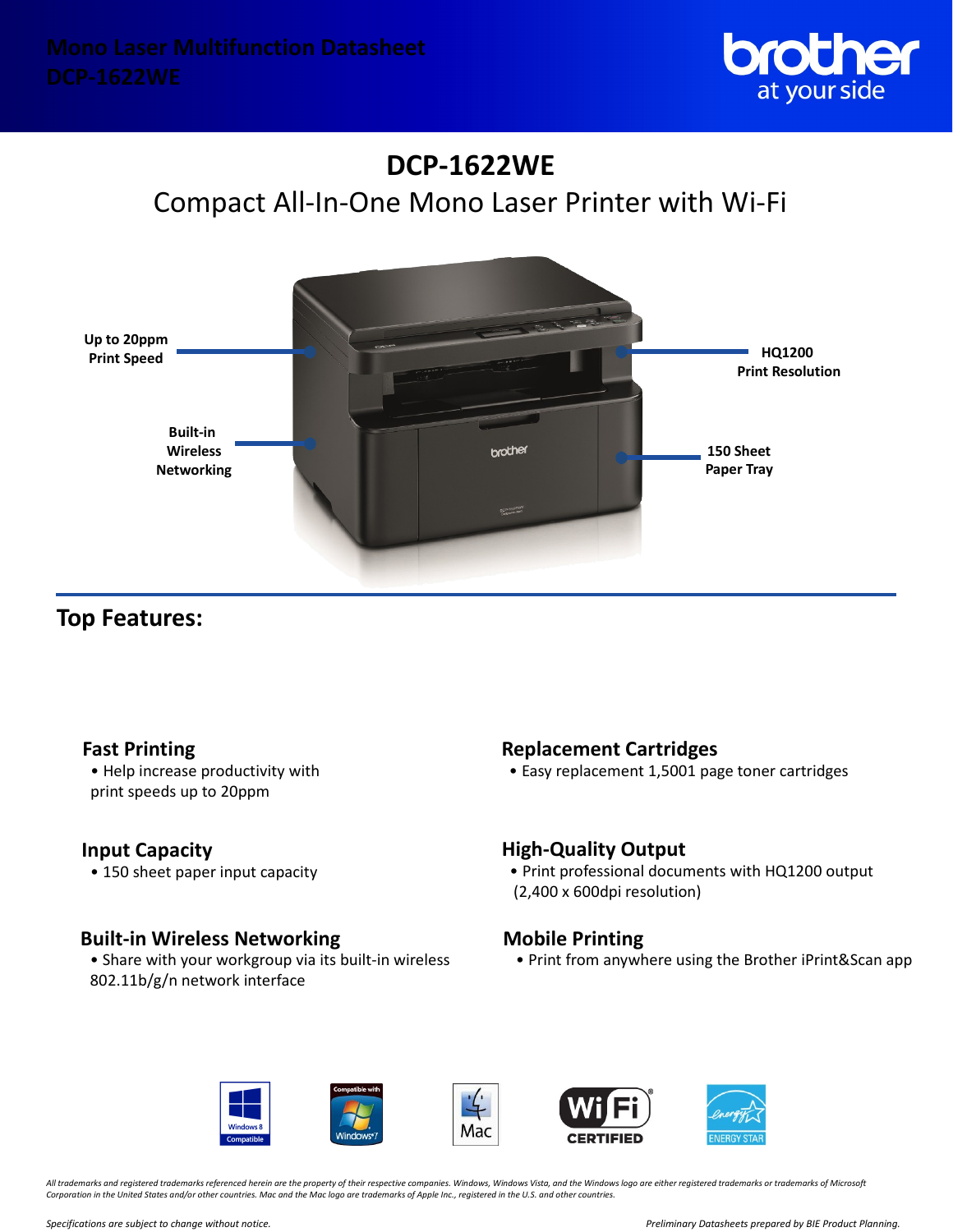

# **DCP-1622WE** Compact All-In-One Mono Laser Printer with Wi-Fi



# **Top Features:**

• Help increase productivity with print speeds up to 20ppm

## **Input Capacity**

• 150 sheet paper input capacity

# **Built-in Wireless Networking**

• Share with your workgroup via its built-in wireless 802.11b/g/n network interface

# **Fast Printing Replacement Cartridges**

• Easy replacement 1,5001 page toner cartridges

## **High-Quality Output**

• Print professional documents with HQ1200 output (2,400 x 600dpi resolution)

# **Mobile Printing**

• Print from anywhere using the Brother iPrint&Scan app







*All trademarks and registered trademarks referenced herein are the property of their respective companies. Windows, Windows Vista, and the Windows logo are either registered trademarks or trademarks of Microsoft Corporation in the United States and/or other countries. Mac and the Mac logo are trademarks of Apple Inc., registered in the U.S. and other countries.*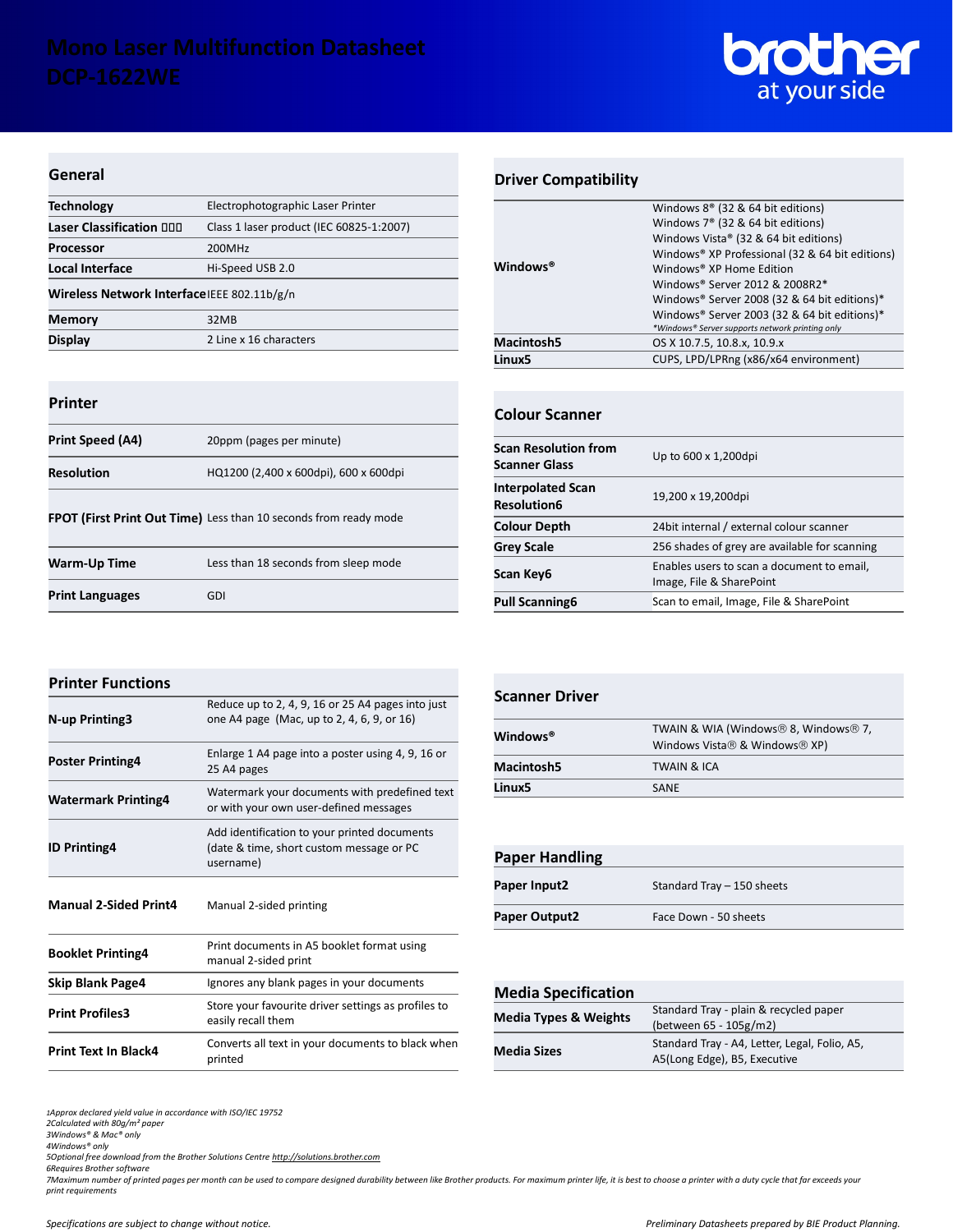

#### **General**

| <b>Technology</b>                           | Electrophotographic Laser Printer        |
|---------------------------------------------|------------------------------------------|
| Laser Classification 000                    | Class 1 laser product (IEC 60825-1:2007) |
| <b>Processor</b>                            | 200MHz                                   |
| Local Interface                             | Hi-Speed USB 2.0                         |
| Wireless Network Interface IEEE 802.11b/g/n |                                          |
| <b>Memory</b>                               | 32MB                                     |
| <b>Display</b>                              | 2 Line x 16 characters                   |
|                                             |                                          |

### **Printer**

| Print Speed (A4)  | 20ppm (pages per minute)              |
|-------------------|---------------------------------------|
| <b>Resolution</b> | HQ1200 (2,400 x 600dpi), 600 x 600dpi |
|                   |                                       |

**FPOT (First Print Out Time)** Less than 10 seconds from ready mode

| Warm-Up Time           | Less than 18 seconds from sleep mode |
|------------------------|--------------------------------------|
| <b>Print Languages</b> | GDI                                  |

## **Driver Compatibility**

| <b>Windows</b> <sup>®</sup> | Windows $8^{\circ}$ (32 & 64 bit editions)      |
|-----------------------------|-------------------------------------------------|
|                             | Windows 7 <sup>®</sup> (32 & 64 bit editions)   |
|                             | Windows Vista® (32 & 64 bit editions)           |
|                             | Windows® XP Professional (32 & 64 bit editions) |
|                             | Windows® XP Home Edition                        |
|                             | Windows® Server 2012 & 2008R2*                  |
|                             | Windows® Server 2008 (32 & 64 bit editions)*    |
|                             | Windows® Server 2003 (32 & 64 bit editions)*    |
|                             | *Windows® Server supports network printing only |
| <b>Macintosh5</b>           | OS X 10.7.5, 10.8.x, 10.9.x                     |
| Linux5                      | CUPS, LPD/LPRng (x86/x64 environment)           |
|                             |                                                 |

#### **Colour Scanner**

| <b>Scan Resolution from</b><br><b>Scanner Glass</b> | Up to 600 x 1,200dpi                                                   |
|-----------------------------------------------------|------------------------------------------------------------------------|
| <b>Interpolated Scan</b><br><b>Resolution6</b>      | 19,200 x 19,200dpi                                                     |
| <b>Colour Depth</b>                                 | 24 bit internal / external colour scanner                              |
| <b>Grey Scale</b>                                   | 256 shades of grey are available for scanning                          |
| Scan Key6                                           | Enables users to scan a document to email,<br>Image, File & SharePoint |
| <b>Pull Scanning6</b>                               | Scan to email, Image, File & SharePoint                                |

| <b>Printer Functions</b>     |                                                                                                       |
|------------------------------|-------------------------------------------------------------------------------------------------------|
| <b>N-up Printing3</b>        | Reduce up to 2, 4, 9, 16 or 25 A4 pages into just<br>one A4 page (Mac, up to 2, 4, 6, 9, or 16)       |
| <b>Poster Printing4</b>      | Enlarge 1 A4 page into a poster using 4, 9, 16 or<br>25 A4 pages                                      |
| <b>Watermark Printing4</b>   | Watermark your documents with predefined text<br>or with your own user-defined messages               |
| <b>ID Printing4</b>          | Add identification to your printed documents<br>(date & time, short custom message or PC<br>username) |
| <b>Manual 2-Sided Print4</b> | Manual 2-sided printing                                                                               |
| <b>Booklet Printing4</b>     | Print documents in A5 booklet format using<br>manual 2-sided print                                    |
| <b>Skip Blank Page4</b>      | Ignores any blank pages in your documents                                                             |
| <b>Print Profiles3</b>       | Store your favourite driver settings as profiles to<br>easily recall them                             |

**Print Text In Black4** Converts all text in your documents to black when printed

| <b>Scanner Driver</b> |                                                                       |
|-----------------------|-----------------------------------------------------------------------|
| <b>Windows®</b>       | TWAIN & WIA (Windows® 8, Windows® 7,<br>Windows Vista® & Windows® XP) |
| <b>Macintosh5</b>     | <b>TWAIN &amp; ICA</b>                                                |
| Linux5                | SANE                                                                  |

| <b>Paper Handling</b> |                            |
|-----------------------|----------------------------|
| Paper Input2          | Standard Tray - 150 sheets |
| Paper Output2         | Face Down - 50 sheets      |

#### **Media Specification**

| <b>INCRIA SPECIFICANOLI</b>      |                                               |
|----------------------------------|-----------------------------------------------|
| <b>Media Types &amp; Weights</b> | Standard Tray - plain & recycled paper        |
|                                  | (between 65 - 105g/m2)                        |
| <b>Media Sizes</b>               | Standard Tray - A4, Letter, Legal, Folio, A5, |
|                                  | A5(Long Edge), B5, Executive                  |

*1Approx declared yield value in accordance with ISO/IEC 19752*

*2Calculated with 80g/m² paper 3Windows® & Mac® only*

*4Windows® only*

*5Optional free download from the Brother Solutions Centre [http://solutions.brother.com](http://solutions.brother.com/) 6Requires Brother software*

*7Maximum number of printed pages per month can be used to compare designed durability between like Brother products. For maximum printer life, it is best to choose a printer with a duty cycle that far exceeds your print requirements*